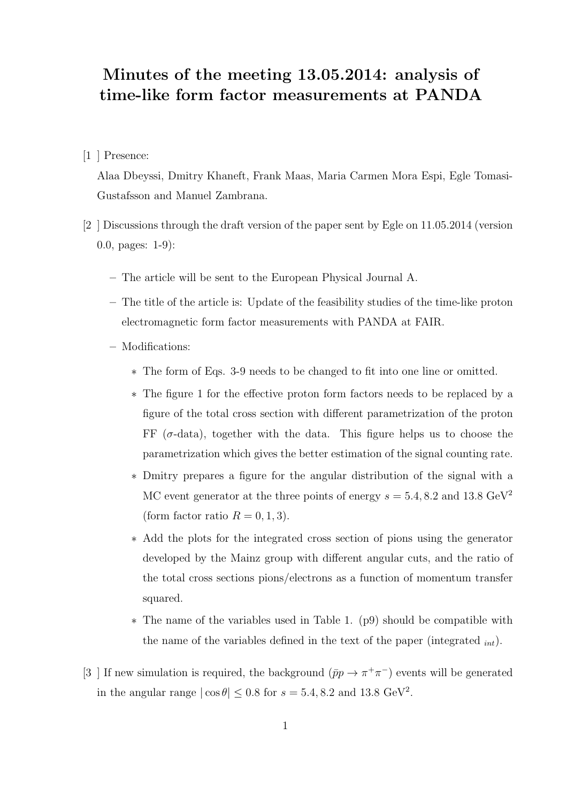## Minutes of the meeting 13.05.2014: analysis of time-like form factor measurements at PANDA

## [1 ] Presence:

Alaa Dbeyssi, Dmitry Khaneft, Frank Maas, Maria Carmen Mora Espi, Egle Tomasi-Gustafsson and Manuel Zambrana.

- [2 ] Discussions through the draft version of the paper sent by Egle on 11.05.2014 (version 0.0, pages: 1-9):
	- The article will be sent to the European Physical Journal A.
	- The title of the article is: Update of the feasibility studies of the time-like proton electromagnetic form factor measurements with PANDA at FAIR.
	- Modifications:
		- ∗ The form of Eqs. 3-9 needs to be changed to fit into one line or omitted.
		- ∗ The figure 1 for the effective proton form factors needs to be replaced by a figure of the total cross section with different parametrization of the proton FF  $(\sigma$ -data), together with the data. This figure helps us to choose the parametrization which gives the better estimation of the signal counting rate.
		- ∗ Dmitry prepares a figure for the angular distribution of the signal with a MC event generator at the three points of energy  $s = 5.4, 8.2$  and 13.8 GeV<sup>2</sup> (form factor ratio  $R = 0, 1, 3$ ).
		- ∗ Add the plots for the integrated cross section of pions using the generator developed by the Mainz group with different angular cuts, and the ratio of the total cross sections pions/electrons as a function of momentum transfer squared.
		- ∗ The name of the variables used in Table 1. (p9) should be compatible with the name of the variables defined in the text of the paper (integrated  $_{int}$ ).
- [3 ] If new simulation is required, the background  $(\bar{p}p \to \pi^+\pi^-)$  events will be generated in the angular range  $|\cos \theta| \leq 0.8$  for  $s = 5.4, 8.2$  and 13.8 GeV<sup>2</sup>.